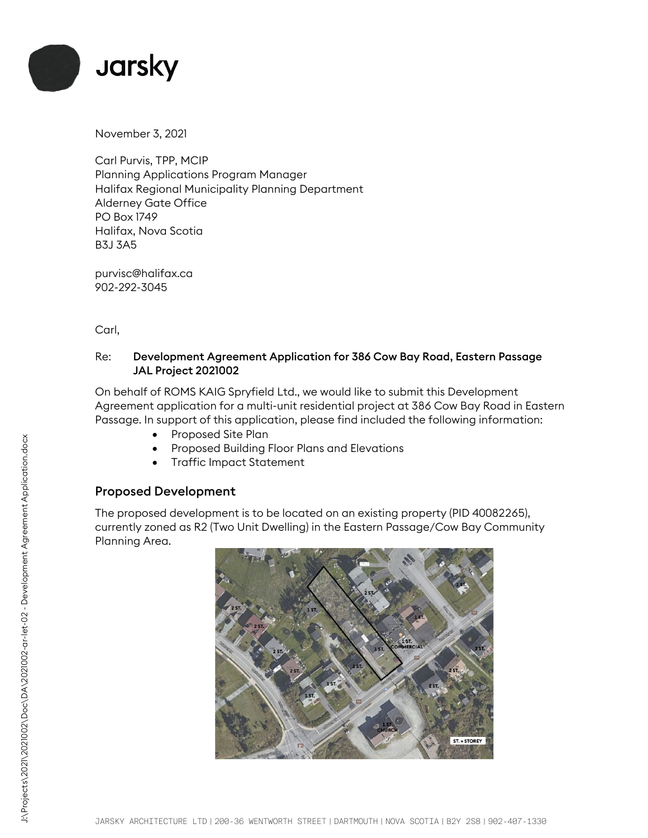

November 3, 2021

Carl Purvis, TPP, MCIP Planning Applications Program Manager Halifax Regional Municipality Planning Department Alderney Gate Office PO Box 1749 Halifax, Nova Scotia B3J 3A5

purvisc@halifax.ca 902-292-3045

Carl,

## Re: Development Agreement Application for 386 Cow Bay Road, Eastern Passage JAL Project 2021002

On behalf of ROMS KAIG Spryfield Ltd., we would like to submit this Development Agreement application for a multi-unit residential project at 386 Cow Bay Road in Eastern Passage. In support of this application, please find included the following information:

- Proposed Site Plan
- Proposed Building Floor Plans and Elevations
- Traffic Impact Statement

## Proposed Development

The proposed development is to be located on an existing property (PID 40082265), currently zoned as R2 (Two Unit Dwelling) in the Eastern Passage/Cow Bay Community Planning Area.

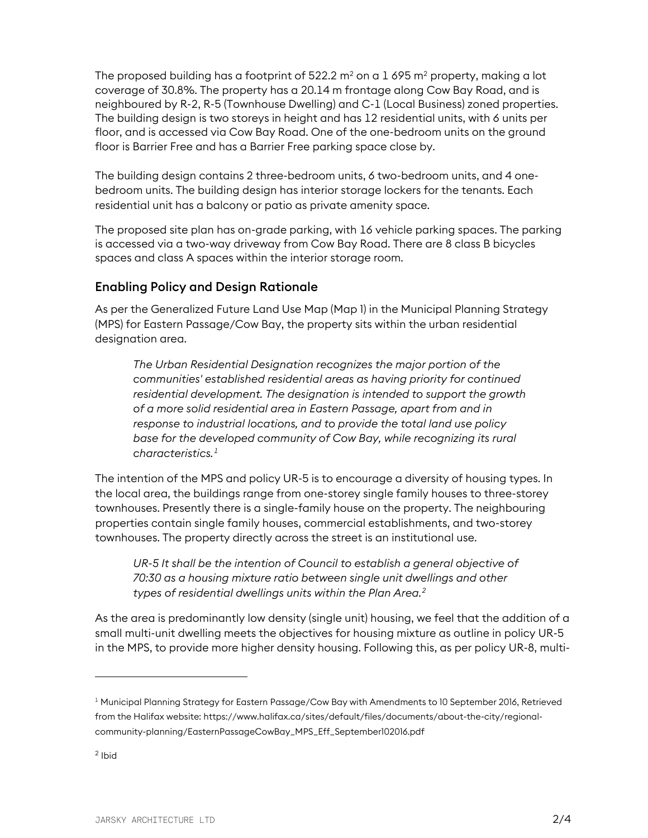The proposed building has a footprint of 522.2  $m^2$  on a 1 695  $m^2$  property, making a lot coverage of 30.8%. The property has a 20.14 m frontage along Cow Bay Road, and is neighboured by R-2, R-5 (Townhouse Dwelling) and C-1 (Local Business) zoned properties. The building design is two storeys in height and has 12 residential units, with 6 units per floor, and is accessed via Cow Bay Road. One of the one-bedroom units on the ground floor is Barrier Free and has a Barrier Free parking space close by.

The building design contains 2 three-bedroom units, 6 two-bedroom units, and 4 onebedroom units. The building design has interior storage lockers for the tenants. Each residential unit has a balcony or patio as private amenity space.

The proposed site plan has on-grade parking, with 16 vehicle parking spaces. The parking is accessed via a two-way driveway from Cow Bay Road. There are 8 class B bicycles spaces and class A spaces within the interior storage room.

## Enabling Policy and Design Rationale

As per the Generalized Future Land Use Map (Map 1) in the Municipal Planning Strategy (MPS) for Eastern Passage/Cow Bay, the property sits within the urban residential designation area.

*The Urban Residential Designation recognizes the major portion of the communities' established residential areas as having priority for continued residential development. The designation is intended to support the growth of a more solid residential area in Eastern Passage, apart from and in response to industrial locations, and to provide the total land use policy base for the developed community of Cow Bay, while recognizing its rural characteristics.[1](#page-1-0)*

The intention of the MPS and policy UR-5 is to encourage a diversity of housing types. In the local area, the buildings range from one-storey single family houses to three-storey townhouses. Presently there is a single-family house on the property. The neighbouring properties contain single family houses, commercial establishments, and two-storey townhouses. The property directly across the street is an institutional use.

UR-5 It shall be the intention of Council to establish a general objective of *70:30 as a housing mixture ratio between single unit dwellings and other types of residential dwellings units within the Plan Area.[2](#page-1-1)*

As the area is predominantly low density (single unit) housing, we feel that the addition of a small multi-unit dwelling meets the objectives for housing mixture as outline in policy UR-5 in the MPS, to provide more higher density housing. Following this, as per policy UR-8, multi-

<span id="page-1-0"></span> $^{\rm 1}$  Municipal Planning Strategy for Eastern Passage/Cow Bay with Amendments to 10 September 2016, Retrieved from the Halifax website: https://www.halifax.ca/sites/default/files/documents/about-the-city/regionalcommunity-planning/EasternPassageCowBay\_MPS\_Eff\_September102016.pdf

<span id="page-1-1"></span> $<sup>2</sup>$  Ibid</sup>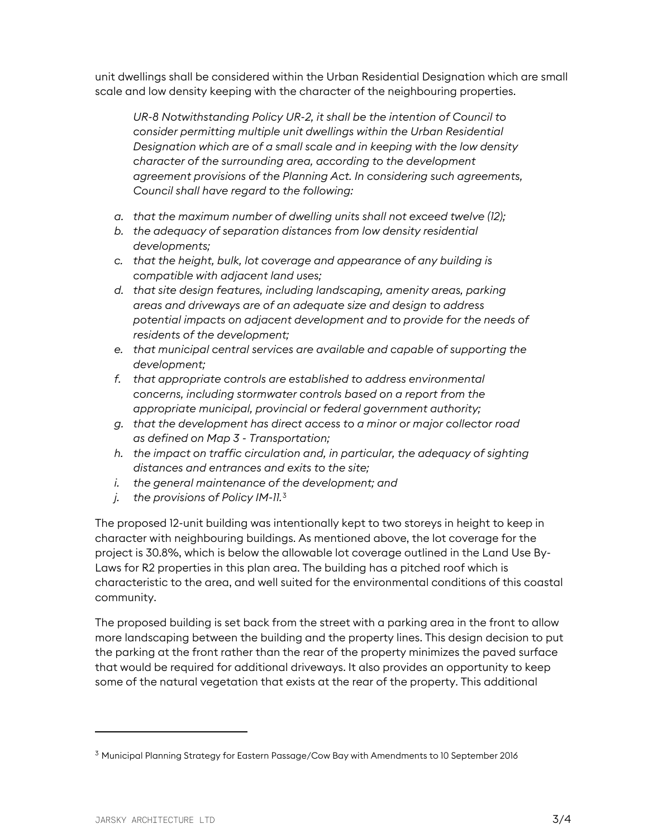unit dwellings shall be considered within the Urban Residential Designation which are small scale and low density keeping with the character of the neighbouring properties.

*UR-8 Notwithstanding Policy UR-2, it shall be the intention of Council to consider permitting multiple unit dwellings within the Urban Residential Designation which are of a small scale and in keeping with the low density character of the surrounding area, according to the development agreement provisions of the Planning Act. In considering such agreements, Council shall have regard to the following:*

- *a. that the maximum number of dwelling units shall not exceed twelve (12);*
- *b. the adequacy of separation distances from low density residential developments;*
- *c. that the height, bulk, lot coverage and appearance of any building is compatible with adjacent land uses;*
- *d. that site design features, including landscaping, amenity areas, parking areas and driveways are of an adequate size and design to address potential impacts on adjacent development and to provide for the needs of residents of the development;*
- *e. that municipal central services are available and capable of supporting the development;*
- *f. that appropriate controls are established to address environmental concerns, including stormwater controls based on a report from the appropriate municipal, provincial or federal government authority;*
- *g. that the development has direct access to a minor or major collector road as defined on Map 3 - Transportation;*
- *h. the impact on traffic circulation and, in particular, the adequacy of sighting distances and entrances and exits to the site;*
- *i. the general maintenance of the development; and*
- *j. the provisions of Policy IM-11.*[3](#page-2-0)

The proposed 12-unit building was intentionally kept to two storeys in height to keep in character with neighbouring buildings. As mentioned above, the lot coverage for the project is 30.8%, which is below the allowable lot coverage outlined in the Land Use By-Laws for R2 properties in this plan area. The building has a pitched roof which is characteristic to the area, and well suited for the environmental conditions of this coastal community.

The proposed building is set back from the street with a parking area in the front to allow more landscaping between the building and the property lines. This design decision to put the parking at the front rather than the rear of the property minimizes the paved surface that would be required for additional driveways. It also provides an opportunity to keep some of the natural vegetation that exists at the rear of the property. This additional

<span id="page-2-0"></span> $3$  Municipal Planning Strategy for Eastern Passage/Cow Bay with Amendments to 10 September 2016